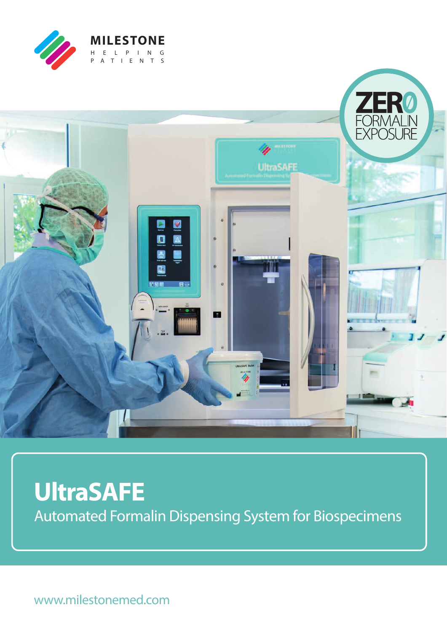



# **UltraSAFE** Automated Formalin Dispensing System for Biospecimens

www.milestonemed.com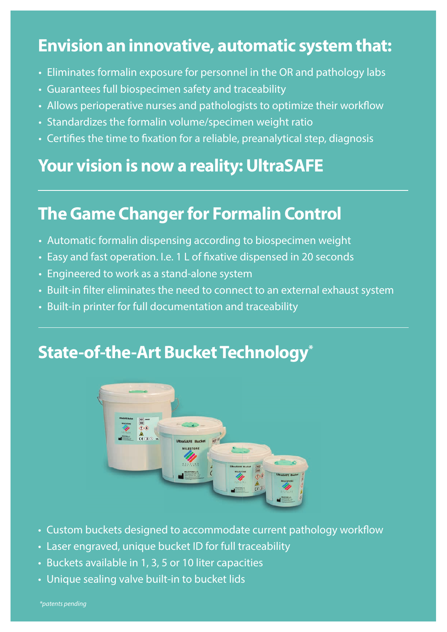### **Envision an innovative, automatic system that:**

- Eliminates formalin exposure for personnel in the OR and pathology labs
- Guarantees full biospecimen safety and traceability
- Allows perioperative nurses and pathologists to optimize their workflow
- Standardizes the formalin volume/specimen weight ratio
- Certifies the time to fixation for a reliable, preanalytical step, diagnosis

### **Your vision is now a reality: UltraSAFE**

## **The Game Changer for Formalin Control**

- Automatic formalin dispensing according to biospecimen weight
- Easy and fast operation. I.e. 1 L of fixative dispensed in 20 seconds
- Engineered to work as a stand-alone system
- Built-in filter eliminates the need to connect to an external exhaust system
- Built-in printer for full documentation and traceability

### **State-of-the-Art Bucket Technology\***



- Custom buckets designed to accommodate current pathology workflow
- Laser engraved, unique bucket ID for full traceability
- Buckets available in 1, 3, 5 or 10 liter capacities
- Unique sealing valve built-in to bucket lids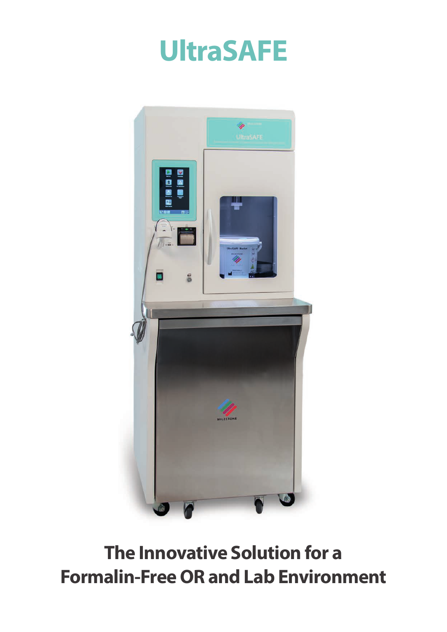



**The Innovative Solution for a Formalin-Free OR and Lab Environment**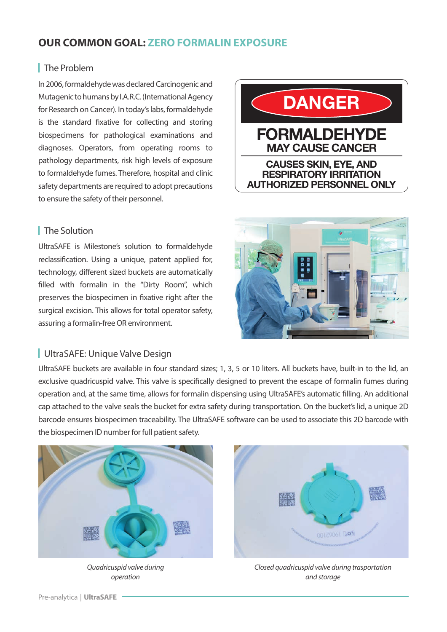#### **OUR COMMON GOAL: ZERO FORMALIN EXPOSURE**

#### **The Problem**

In 2006, formaldehyde was declared Carcinogenic and Mutagenic to humans by I.A.R.C. (International Agency for Research on Cancer). In today's labs, formaldehyde is the standard fixative for collecting and storing biospecimens for pathological examinations and diagnoses. Operators, from operating rooms to pathology departments, risk high levels of exposure to formaldehyde fumes. Therefore, hospital and clinic safety departments are required to adopt precautions to ensure the safety of their personnel.

#### **The Solution**

UltraSAFE is Milestone's solution to formaldehyde reclassification. Using a unique, patent applied for, technology, different sized buckets are automatically filled with formalin in the "Dirty Room", which preserves the biospecimen in fixative right after the surgical excision. This allows for total operator safety, assuring a formalin-free OR environment.

#### UltraSAFE: Unique Valve Design

UltraSAFE buckets are available in four standard sizes; 1, 3, 5 or 10 liters. All buckets have, built-in to the lid, an exclusive quadricuspid valve. This valve is specifically designed to prevent the escape of formalin fumes during operation and, at the same time, allows for formalin dispensing using UltraSAFE's automatic filling. An additional cap attached to the valve seals the bucket for extra safety during transportation. On the bucket's lid, a unique 2D barcode ensures biospecimen traceability. The UltraSAFE software can be used to associate this 2D barcode with the biospecimen ID number for full patient safety.



*Quadricuspid valve during operation*



*Closed quadricuspid valve during trasportation and storage*



**DANGER**

**FORMALDEHYDE MAY CAUSE CANCER**

**CAUSES SKIN, EYE, AND RESPIRATORY IRRITATION AUTHORIZED PERSONNEL ONLY**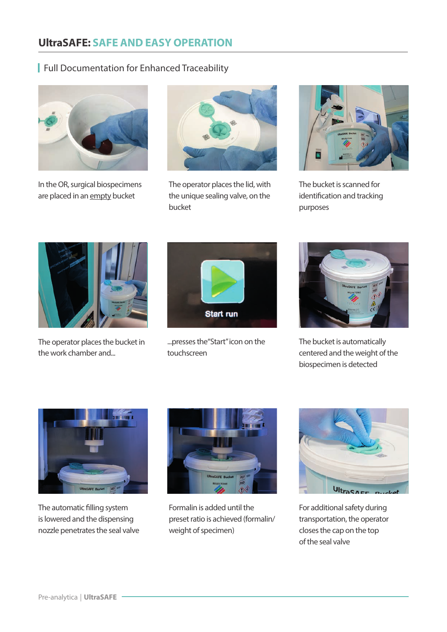### **UltraSAFE: SAFE AND EASY OPERATION**

#### Full Documentation for Enhanced Traceability



In the OR, surgical biospecimens are placed in an empty bucket



The operator places the lid, with the unique sealing valve, on the bucket



The bucket is scanned for identification and tracking purposes



The operator places the bucket in the work chamber and...



...presses the"Start" icon on the touchscreen



The bucket is automatically centered and the weight of the biospecimen is detected



The automatic filling system is lowered and the dispensing nozzle penetrates the seal valve



Formalin is added until the preset ratio is achieved (formalin/ weight of specimen)



For additional safety during transportation, the operator closes the cap on the top of the seal valve